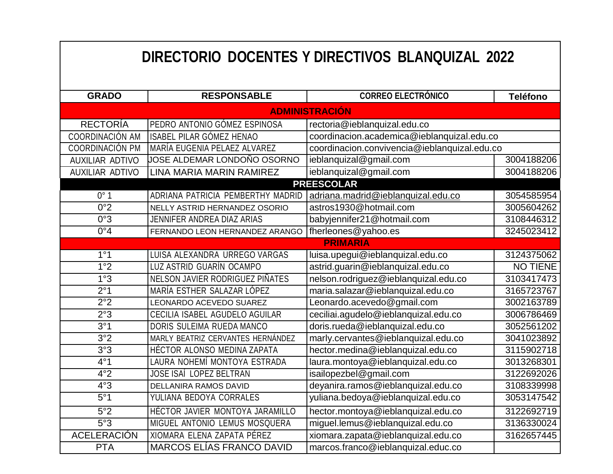| DIRECTORIO DOCENTES Y DIRECTIVOS BLANQUIZAL 2022 |                                   |                                              |                 |  |
|--------------------------------------------------|-----------------------------------|----------------------------------------------|-----------------|--|
| <b>GRADO</b>                                     | <b>RESPONSABLE</b>                | <b>CORREO ELECTRÓNICO</b>                    | <b>Teléfono</b> |  |
| <b>ADMINISTRACIÓN</b>                            |                                   |                                              |                 |  |
| <b>RECTORÍA</b>                                  | PEDRO ANTONIO GÓMEZ ESPINOSA      | rectoria@ieblanquizal.edu.co                 |                 |  |
| COORDINACIÓN AM                                  | <b>ISABEL PILAR GÓMEZ HENAO</b>   | coordinacion.academica@ieblanquizal.edu.co   |                 |  |
| COORDINACIÓN PM                                  | MARÍA EUGENIA PELAEZ ALVAREZ      | coordinacion.convivencia@ieblanquizal.edu.co |                 |  |
| <b>AUXILIAR ADTIVO</b>                           | JOSE ALDEMAR LONDOÑO OSORNO       | ieblanquizal@gmail.com                       | 3004188206      |  |
| <b>AUXILIAR ADTIVO</b>                           | LINA MARIA MARIN RAMIREZ          | ieblanquizal@gmail.com                       | 3004188206      |  |
| <b>PREESCOLAR</b>                                |                                   |                                              |                 |  |
| 0°1                                              | ADRIANA PATRICIA PEMBERTHY MADRID | adriana.madrid@ieblanquizal.edu.co           | 3054585954      |  |
| 0°2                                              | NELLY ASTRID HERNANDEZ OSORIO     | astros1930@hotmail.com                       | 3005604262      |  |
| 0°3                                              | JENNIFER ANDREA DIAZ ARIAS        | babyjennifer21@hotmail.com                   | 3108446312      |  |
| 0°4                                              | FERNANDO LEON HERNANDEZ ARANGO    | fherleones@yahoo.es                          | 3245023412      |  |
|                                                  |                                   | <b>PRIMARIA</b>                              |                 |  |
| 1°1                                              | LUISA ALEXANDRA URREGO VARGAS     | luisa.upegui@ieblanquizal.edu.co             | 3124375062      |  |
| 1°2                                              | LUZ ASTRID GUARÍN OCAMPO          | astrid.guarin@ieblanquizal.edu.co            | <b>NO TIENE</b> |  |
| 1°3                                              | NELSON JAVIER RODRIGUEZ PIÑATES   | nelson.rodriguez@ieblanquizal.edu.co         | 3103417473      |  |
| 2°1                                              | MARÍA ESTHER SALAZAR LÓPEZ        | maria.salazar@ieblanquizal.edu.co            | 3165723767      |  |
| 2°2                                              | LEONARDO ACEVEDO SUAREZ           | Leonardo.acevedo@gmail.com                   | 3002163789      |  |
| 2°3                                              | CECILIA ISABEL AGUDELO AGUILAR    | ceciliai.agudelo@ieblanquizal.edu.co         | 3006786469      |  |
| 3°1                                              | DORIS SULEIMA RUEDA MANCO         | doris.rueda@ieblanquizal.edu.co              | 3052561202      |  |
| 3°2                                              | MARLY BEATRIZ CERVANTES HERNÁNDEZ | marly.cervantes@ieblanquizal.edu.co          | 3041023892      |  |
| 3°3                                              | HÉCTOR ALONSO MEDINA ZAPATA       | hector.medina@ieblanquizal.edu.co            | 3115902718      |  |
| 4°1                                              | LAURA NOHEMÍ MONTOYA ESTRADA      | laura.montoya@ieblanquizal.edu.co            | 3013268301      |  |
| 4°2                                              | JOSE ISAÍ LOPEZ BELTRAN           | isailopezbel@gmail.com                       | 3122692026      |  |
| 4°3                                              | DELLANIRA RAMOS DAVID             | deyanira.ramos@ieblanquizal.edu.co           | 3108339998      |  |
| 5°1                                              | YULIANA BEDOYA CORRALES           | yuliana.bedoya@ieblanquizal.edu.co           | 3053147542      |  |
| 5°2                                              | HÉCTOR JAVIER MONTOYA JARAMILLO   | hector.montoya@ieblanquizal.edu.co           | 3122692719      |  |
| 5°3                                              | MIGUEL ANTONIO LEMUS MOSQUERA     | miguel.lemus@ieblanquizal.edu.co             | 3136330024      |  |
| <b>ACELERACIÓN</b>                               | XIOMARA ELENA ZAPATA PÉREZ        | xiomara.zapata@ieblanquizal.edu.co           | 3162657445      |  |
| <b>PTA</b>                                       | MARCOS ELÍAS FRANCO DAVID         | marcos.franco@ieblanquizal.educ.co           |                 |  |